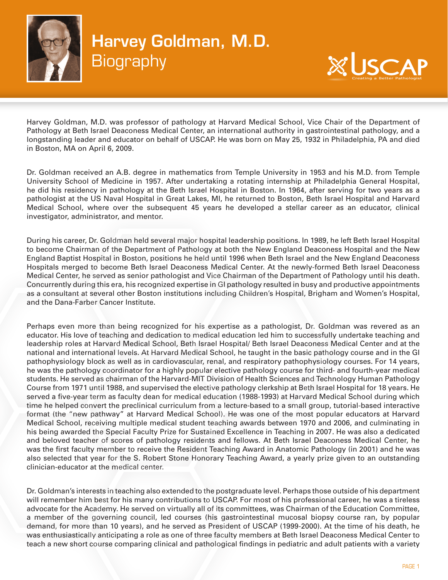



Harvey Goldman, M.D. was professor of pathology at Harvard Medical School, Vice Chair of the Department of Pathology at Beth Israel Deaconess Medical Center, an international authority in gastrointestinal pathology, and a longstanding leader and educator on behalf of USCAP. He was born on May 25, 1932 in Philadelphia, PA and died in Boston, MA on April 6, 2009.

Dr. Goldman received an A.B. degree in mathematics from Temple University in 1953 and his M.D. from Temple University School of Medicine in 1957. After undertaking a rotating internship at Philadelphia General Hospital, he did his residency in pathology at the Beth Israel Hospital in Boston. In 1964, after serving for two years as a pathologist at the US Naval Hospital in Great Lakes, MI, he returned to Boston, Beth Israel Hospital and Harvard Medical School, where over the subsequent 45 years he developed a stellar career as an educator, clinical investigator, administrator, and mentor.

During his career, Dr. Goldman held several major hospital leadership positions. In 1989, he left Beth Israel Hospital to become Chairman of the Department of Pathology at both the New England Deaconess Hospital and the New England Baptist Hospital in Boston, positions he held until 1996 when Beth Israel and the New England Deaconess Hospitals merged to become Beth Israel Deaconess Medical Center. At the newly-formed Beth Israel Deaconess Medical Center, he served as senior pathologist and Vice Chairman of the Department of Pathology until his death. Concurrently during this era, his recognized expertise in GI pathology resulted in busy and productive appointments as a consultant at several other Boston institutions including Children's Hospital, Brigham and Women's Hospital, and the Dana-Farber Cancer Institute.

Perhaps even more than being recognized for his expertise as a pathologist, Dr. Goldman was revered as an educator. His love of teaching and dedication to medical education led him to successfully undertake teaching and leadership roles at Harvard Medical School, Beth Israel Hospital/ Beth Israel Deaconess Medical Center and at the national and international levels. At Harvard Medical School, he taught in the basic pathology course and in the GI pathophysiology block as well as in cardiovascular, renal, and respiratory pathophysiology courses. For 14 years, he was the pathology coordinator for a highly popular elective pathology course for third- and fourth-year medical students. He served as chairman of the Harvard-MIT Division of Health Sciences and Technology Human Pathology Course from 1971 until 1988, and supervised the elective pathology clerkship at Beth Israel Hospital for 18 years. He served a five-year term as faculty dean for medical education (1988-1993) at Harvard Medical School during which time he helped convert the preclinical curriculum from a lecture-based to a small group, tutorial-based interactive format (the "new pathway" at Harvard Medical School). He was one of the most popular educators at Harvard Medical School, receiving multiple medical student teaching awards between 1970 and 2006, and culminating in his being awarded the Special Faculty Prize for Sustained Excellence in Teaching in 2007. He was also a dedicated and beloved teacher of scores of pathology residents and fellows. At Beth Israel Deaconess Medical Center, he was the first faculty member to receive the Resident Teaching Award in Anatomic Pathology (in 2001) and he was also selected that year for the S. Robert Stone Honorary Teaching Award, a yearly prize given to an outstanding clinician-educator at the medical center.

Dr. Goldman's interests in teaching also extended to the postgraduate level. Perhaps those outside of his department will remember him best for his many contributions to USCAP. For most of his professional career, he was a tireless advocate for the Academy. He served on virtually all of its committees, was Chairman of the Education Committee, advection of the Academy. The served on virtually an or its committees, was chainman or the Education committee,<br>a member of the governing council, led courses (his gastrointestinal mucosal biopsy course ran, by popular demand, for more than 10 years), and he served as President of USCAP (1999-2000). At the time of his death, he was enthusiastically anticipating a role as one of three faculty members at Beth Israel Deaconess Medical Center to teach a new short course comparing clinical and pathological findings in pediatric and adult patients with a variety